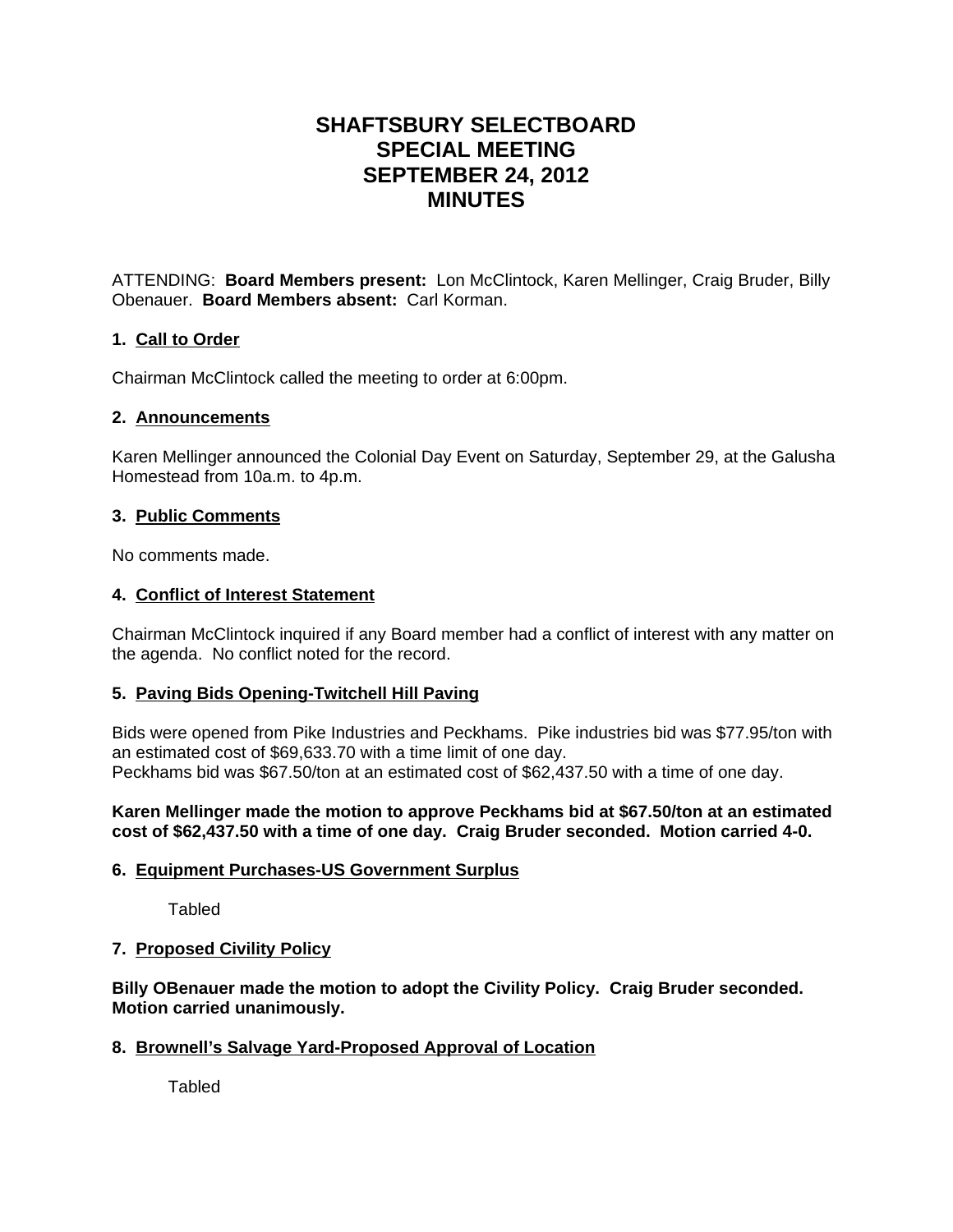# **SHAFTSBURY SELECTBOARD SPECIAL MEETING SEPTEMBER 24, 2012 MINUTES**

ATTENDING: **Board Members present:** Lon McClintock, Karen Mellinger, Craig Bruder, Billy Obenauer. **Board Members absent:** Carl Korman.

# **1. Call to Order**

Chairman McClintock called the meeting to order at 6:00pm.

# **2. Announcements**

Karen Mellinger announced the Colonial Day Event on Saturday, September 29, at the Galusha Homestead from 10a.m. to 4p.m.

# **3. Public Comments**

No comments made.

# **4. Conflict of Interest Statement**

Chairman McClintock inquired if any Board member had a conflict of interest with any matter on the agenda. No conflict noted for the record.

# **5. Paving Bids Opening-Twitchell Hill Paving**

Bids were opened from Pike Industries and Peckhams. Pike industries bid was \$77.95/ton with an estimated cost of \$69,633.70 with a time limit of one day. Peckhams bid was \$67.50/ton at an estimated cost of \$62,437.50 with a time of one day.

## **Karen Mellinger made the motion to approve Peckhams bid at \$67.50/ton at an estimated cost of \$62,437.50 with a time of one day. Craig Bruder seconded. Motion carried 4-0.**

# **6. Equipment Purchases-US Government Surplus**

Tabled

# **7. Proposed Civility Policy**

**Billy OBenauer made the motion to adopt the Civility Policy. Craig Bruder seconded. Motion carried unanimously.**

# **8. Brownell's Salvage Yard-Proposed Approval of Location**

**Tabled**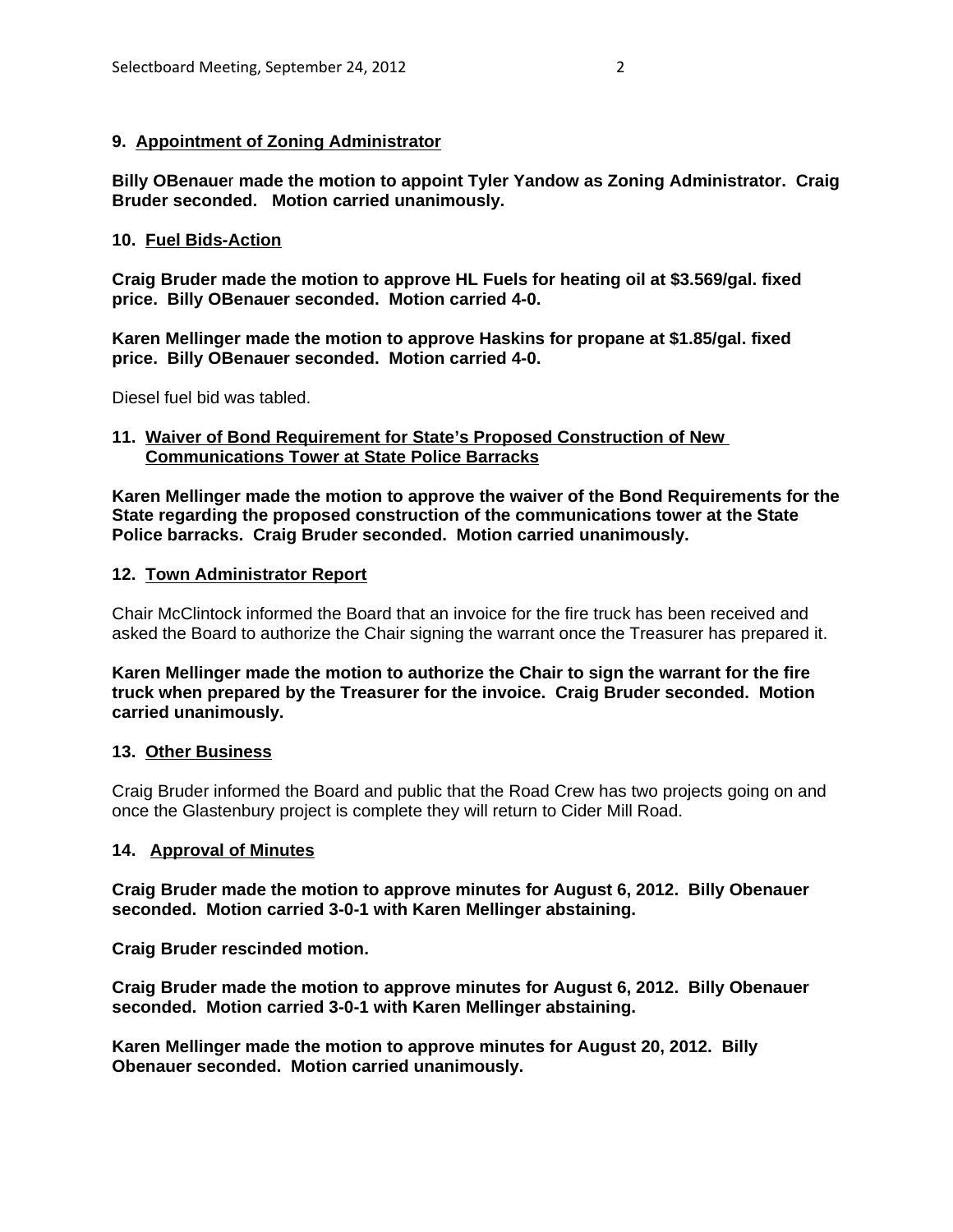#### **9. Appointment of Zoning Administrator**

**Billy OBenaue**r **made the motion to appoint Tyler Yandow as Zoning Administrator. Craig Bruder seconded. Motion carried unanimously.**

### **10. Fuel Bids-Action**

**Craig Bruder made the motion to approve HL Fuels for heating oil at \$3.569/gal. fixed price. Billy OBenauer seconded. Motion carried 4-0.**

**Karen Mellinger made the motion to approve Haskins for propane at \$1.85/gal. fixed price. Billy OBenauer seconded. Motion carried 4-0.**

Diesel fuel bid was tabled.

#### **11. Waiver of Bond Requirement for State's Proposed Construction of New Communications Tower at State Police Barracks**

**Karen Mellinger made the motion to approve the waiver of the Bond Requirements for the State regarding the proposed construction of the communications tower at the State Police barracks. Craig Bruder seconded. Motion carried unanimously.**

#### **12. Town Administrator Report**

Chair McClintock informed the Board that an invoice for the fire truck has been received and asked the Board to authorize the Chair signing the warrant once the Treasurer has prepared it.

**Karen Mellinger made the motion to authorize the Chair to sign the warrant for the fire truck when prepared by the Treasurer for the invoice. Craig Bruder seconded. Motion carried unanimously.**

#### **13. Other Business**

Craig Bruder informed the Board and public that the Road Crew has two projects going on and once the Glastenbury project is complete they will return to Cider Mill Road.

#### **14. Approval of Minutes**

**Craig Bruder made the motion to approve minutes for August 6, 2012. Billy Obenauer seconded. Motion carried 3-0-1 with Karen Mellinger abstaining.**

**Craig Bruder rescinded motion.**

**Craig Bruder made the motion to approve minutes for August 6, 2012. Billy Obenauer seconded. Motion carried 3-0-1 with Karen Mellinger abstaining.**

**Karen Mellinger made the motion to approve minutes for August 20, 2012. Billy Obenauer seconded. Motion carried unanimously.**